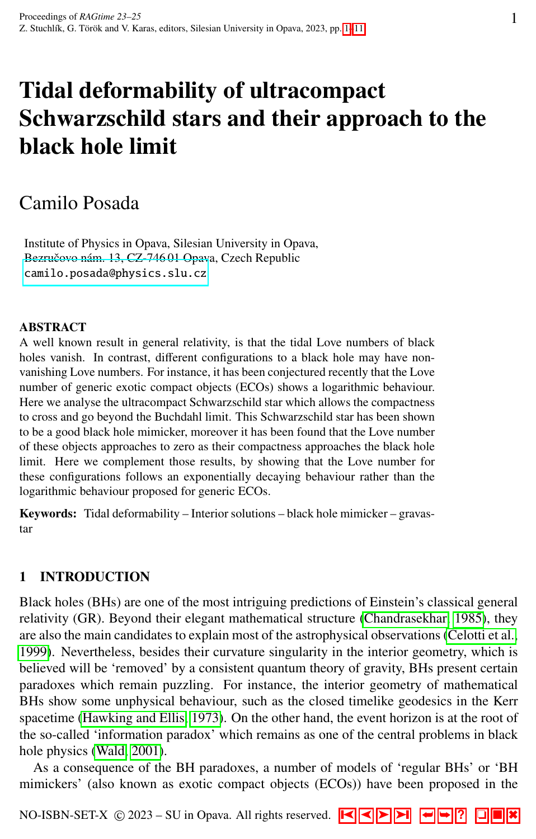# <span id="page-0-0"></span>Tidal deformability of ultracompact Schwarzschild stars and their approach to the black hole limit

# Camilo Posada

Institute of Physics in Opava, Silesian University in Opava, Bezručovo nám. 13, CZ-746 01 Opava, Czech Republic <camilo.posada@physics.slu.cz>

#### ABSTRACT

A well known result in general relativity, is that the tidal Love numbers of black holes vanish. In contrast, different configurations to a black hole may have nonvanishing Love numbers. For instance, it has been conjectured recently that the Love number of generic exotic compact objects (ECOs) shows a logarithmic behaviour. Here we analyse the ultracompact Schwarzschild star which allows the compactness to cross and go beyond the Buchdahl limit. This Schwarzschild star has been shown to be a good black hole mimicker, moreover it has been found that the Love number of these objects approaches to zero as their compactness approaches the black hole limit. Here we complement those results, by showing that the Love number for these configurations follows an exponentially decaying behaviour rather than the logarithmic behaviour proposed for generic ECOs.

Keywords: Tidal deformability – Interior solutions – black hole mimicker – gravastar

# 1 INTRODUCTION

Black holes (BHs) are one of the most intriguing predictions of Einstein's classical general relativity (GR). Beyond their elegant mathematical structure [\(Chandrasekhar, 1985\)](#page-9-0), they are also the main candidates to explain most of the astrophysical observations [\(Celotti et al.,](#page-9-1) [1999\)](#page-9-1). Nevertheless, besides their curvature singularity in the interior geometry, which is believed will be 'removed' by a consistent quantum theory of gravity, BHs present certain paradoxes which remain puzzling. For instance, the interior geometry of mathematical BHs show some unphysical behaviour, such as the closed timelike geodesics in the Kerr spacetime [\(Hawking and Ellis, 1973\)](#page-9-2). On the other hand, the event horizon is at the root of the so-called 'information paradox' which remains as one of the central problems in black hole physics [\(Wald, 2001\)](#page-10-0).

As a consequence of the BH paradoxes, a number of models of 'regular BHs' or 'BH mimickers' (also known as exotic compact objects (ECOs)) have been proposed in the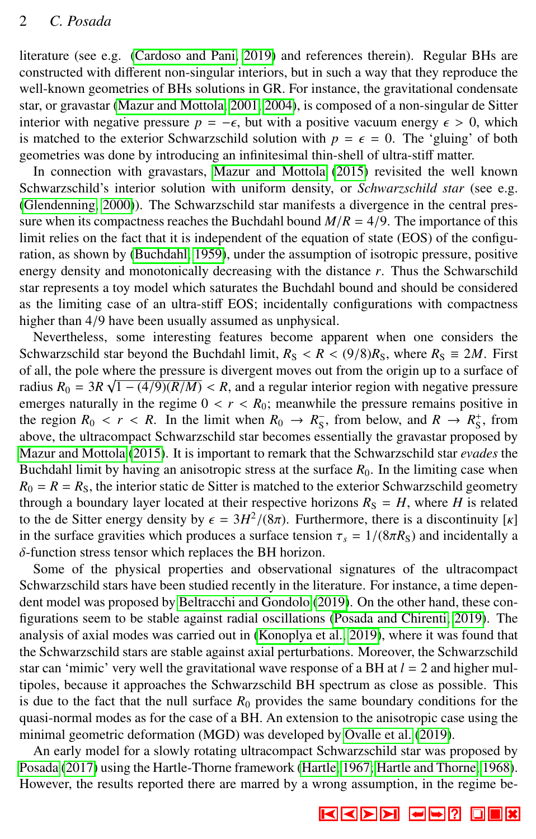literature (see e.g. [\(Cardoso and Pani, 2019\)](#page-9-3) and references therein). Regular BHs are constructed with different non-singular interiors, but in such a way that they reproduce the well-known geometries of BHs solutions in GR. For instance, the gravitational condensate star, or gravastar [\(Mazur and Mottola, 2001,](#page-9-4) [2004\)](#page-9-5), is composed of a non-singular de Sitter interior with negative pressure *p* = − $\epsilon$ , but with a positive vacuum energy  $\epsilon$  > 0, which is matched to the exterior Schwarzschild solution with  $p = \epsilon = 0$ . The 'gluing' of both geometries was done by introducing an infinitesimal thin-shell of ultra-stiff matter.

In connection with gravastars, [Mazur and Mottola](#page-9-6) [\(2015\)](#page-9-6) revisited the well known Schwarzschild's interior solution with uniform density, or *Schwarzschild star* (see e.g. [\(Glendenning, 2000\)](#page-9-7)). The Schwarzschild star manifests a divergence in the central pressure when its compactness reaches the Buchdahl bound  $M/R = 4/9$ . The importance of this limit relies on the fact that it is independent of the equation of state (EOS) of the configuration, as shown by [\(Buchdahl, 1959\)](#page-8-0), under the assumption of isotropic pressure, positive energy density and monotonically decreasing with the distance *r*. Thus the Schwarschild star represents a toy model which saturates the Buchdahl bound and should be considered as the limiting case of an ultra-stiff EOS; incidentally configurations with compactness higher than 4/9 have been usually assumed as unphysical.

Nevertheless, some interesting features become apparent when one considers the Schwarzschild star beyond the Buchdahl limit,  $R_S < R < (9/8)R_S$ , where  $R_S = 2M$ . First of all, the pole where the pressure is divergent moves out from the origin up to a surface of radius  $R_0 = 3R\sqrt{1 - (4/9)(R/M)} < R$ , and a regular interior region with negative pressure remains nositive in emerges naturally in the regime  $0 < r < R_0$ ; meanwhile the pressure remains positive in the region  $R_0 < r < R$ . In the limit when  $R_0 \rightarrow R_S^2$ , from below, and  $R \rightarrow R_S^4$ , from showe the ultracompact Schwarzschild star becomes essentially the gravastar proposed by above, the ultracompact Schwarzschild star becomes essentially the gravastar proposed by [Mazur and Mottola](#page-9-6) [\(2015\)](#page-9-6). It is important to remark that the Schwarzschild star *evades* the Buchdahl limit by having an anisotropic stress at the surface  $R_0$ . In the limiting case when  $R_0 = R = R<sub>S</sub>$ , the interior static de Sitter is matched to the exterior Schwarzschild geometry through a boundary layer located at their respective horizons  $R<sub>S</sub> = H$ , where *H* is related to the de Sitter energy density by  $\epsilon = 3H^2/(8\pi)$ . Furthermore, there is a discontinuity [*k*] in the surface gravities which produces a surface tension  $\tau = 1/(8\pi R_0)$  and incidentally a in the surface gravities which produces a surface tension  $\tau_s = 1/(8\pi R_s)$  and incidentally a δ-function stress tensor which replaces the BH horizon.

Some of the physical properties and observational signatures of the ultracompact Schwarzschild stars have been studied recently in the literature. For instance, a time dependent model was proposed by [Beltracchi and Gondolo](#page-8-1) [\(2019\)](#page-8-1). On the other hand, these configurations seem to be stable against radial oscillations [\(Posada and Chirenti, 2019\)](#page-10-1). The analysis of axial modes was carried out in [\(Konoplya et al., 2019\)](#page-9-8), where it was found that the Schwarzschild stars are stable against axial perturbations. Moreover, the Schwarzschild star can 'mimic' very well the gravitational wave response of a BH at  $l = 2$  and higher multipoles, because it approaches the Schwarzschild BH spectrum as close as possible. This is due to the fact that the null surface  $R_0$  provides the same boundary conditions for the quasi-normal modes as for the case of a BH. An extension to the anisotropic case using the minimal geometric deformation (MGD) was developed by [Ovalle et al.](#page-9-9) [\(2019\)](#page-9-9).

An early model for a slowly rotating ultracompact Schwarzschild star was proposed by [Posada](#page-10-2) [\(2017\)](#page-10-2) using the Hartle-Thorne framework [\(Hartle, 1967;](#page-9-10) [Hartle and Thorne, 1968\)](#page-9-11). However, the results reported there are marred by a wrong assumption, in the regime be-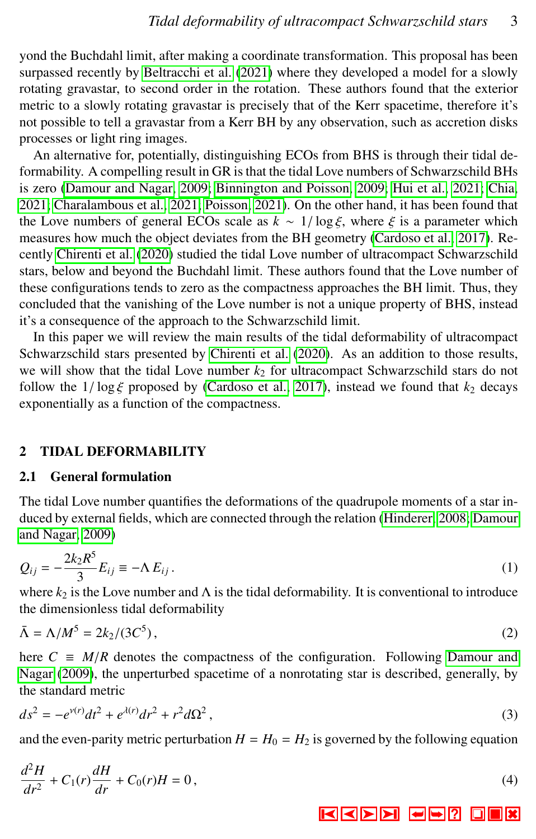yond the Buchdahl limit, after making a coordinate transformation. This proposal has been surpassed recently by [Beltracchi et al.](#page-8-2) [\(2021\)](#page-8-2) where they developed a model for a slowly rotating gravastar, to second order in the rotation. These authors found that the exterior metric to a slowly rotating gravastar is precisely that of the Kerr spacetime, therefore it's not possible to tell a gravastar from a Kerr BH by any observation, such as accretion disks processes or light ring images.

An alternative for, potentially, distinguishing ECOs from BHS is through their tidal deformability. A compelling result in GR is that the tidal Love numbers of Schwarzschild BHs is zero [\(Damour and Nagar, 2009;](#page-9-12) [Binnington and Poisson, 2009;](#page-8-3) [Hui et al., 2021;](#page-9-13) [Chia,](#page-9-14) [2021;](#page-9-14) [Charalambous et al., 2021;](#page-9-15) [Poisson, 2021\)](#page-9-16). On the other hand, it has been found that the Love numbers of general ECOs scale as  $k \sim 1/\log \xi$ , where  $\xi$  is a parameter which measures how much the object deviates from the BH geometry [\(Cardoso et al., 2017\)](#page-9-17). Recently [Chirenti et al.](#page-9-18) [\(2020\)](#page-9-18) studied the tidal Love number of ultracompact Schwarzschild stars, below and beyond the Buchdahl limit. These authors found that the Love number of these configurations tends to zero as the compactness approaches the BH limit. Thus, they concluded that the vanishing of the Love number is not a unique property of BHS, instead it's a consequence of the approach to the Schwarzschild limit.

In this paper we will review the main results of the tidal deformability of ultracompact Schwarzschild stars presented by [Chirenti et al.](#page-9-18) [\(2020\)](#page-9-18). As an addition to those results, we will show that the tidal Love number  $k_2$  for ultracompact Schwarzschild stars do not follow the  $1/\log \xi$  proposed by [\(Cardoso et al., 2017\)](#page-9-17), instead we found that  $k_2$  decays exponentially as a function of the compactness.

#### 2 TIDAL DEFORMABILITY

#### 2.1 General formulation

The tidal Love number quantifies the deformations of the quadrupole moments of a star induced by external fields, which are connected through the relation [\(Hinderer, 2008;](#page-9-19) [Damour](#page-9-12) [and Nagar, 2009\)](#page-9-12)

$$
Q_{ij} = -\frac{2k_2 R^5}{3} E_{ij} \equiv -\Lambda E_{ij} \,. \tag{1}
$$

where  $k_2$  is the Love number and  $\Lambda$  is the tidal deformability. It is conventional to introduce the dimensionless tidal deformability

$$
\bar{\Lambda} = \Lambda / M^5 = 2k_2 / (3C^5),\tag{2}
$$

here  $C \equiv M/R$  denotes the compactness of the configuration. Following [Damour and](#page-9-12) [Nagar](#page-9-12) [\(2009\)](#page-9-12), the unperturbed spacetime of a nonrotating star is described, generally, by the standard metric

$$
ds^{2} = -e^{\nu(r)}dt^{2} + e^{\lambda(r)}dr^{2} + r^{2}d\Omega^{2},
$$
\t(3)

<span id="page-2-0"></span>and the even-parity metric perturbation  $H = H_0 = H_2$  is governed by the following equation

$$
\frac{d^2H}{dr^2} + C_1(r)\frac{dH}{dr} + C_0(r)H = 0,
$$
\n(4)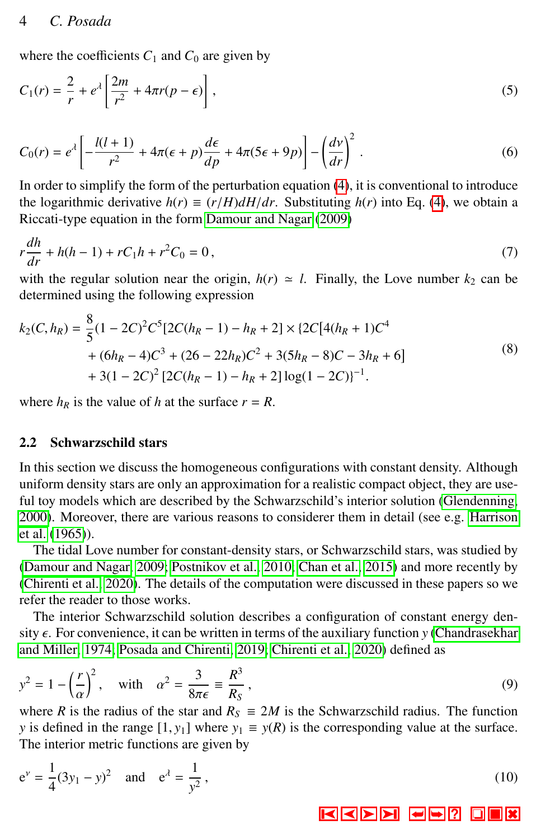## 4 *C. Posada*

<span id="page-3-2"></span>where the coefficients  $C_1$  and  $C_0$  are given by

$$
C_1(r) = \frac{2}{r} + e^{\lambda} \left[ \frac{2m}{r^2} + 4\pi r (p - \epsilon) \right],
$$
\n<sup>(5)</sup>

<span id="page-3-3"></span>
$$
C_0(r) = e^{\lambda} \left[ -\frac{l(l+1)}{r^2} + 4\pi(\epsilon + p)\frac{d\epsilon}{dp} + 4\pi(5\epsilon + 9p) \right] - \left(\frac{dv}{dr}\right)^2.
$$
 (6)

In order to simplify the form of the perturbation equation [\(4\)](#page-2-0), it is conventional to introduce the logarithmic derivative  $h(r) \equiv (r/H)dH/dr$ . Substituting  $h(r)$  into Eq. [\(4\)](#page-2-0), we obtain a Riccati-type equation in the form [Damour and Nagar](#page-9-12) [\(2009\)](#page-9-12)

<span id="page-3-1"></span>
$$
r\frac{dh}{dr} + h(h-1) + rC_1h + r^2C_0 = 0,
$$
\n(7)

with the regular solution near the origin,  $h(r) \approx l$ . Finally, the Love number  $k_2$  can be determined using the following expression

$$
k_2(C, h_R) = \frac{8}{5}(1 - 2C)^2 C^5 [2C(h_R - 1) - h_R + 2] \times \{2C[4(h_R + 1)C^4
$$
  
+  $(6h_R - 4)C^3 + (26 - 22h_R)C^2 + 3(5h_R - 8)C - 3h_R + 6]$   
+  $3(1 - 2C)^2 [2C(h_R - 1) - h_R + 2] \log(1 - 2C)]^{-1}$ . (8)

where  $h_R$  is the value of h at the surface  $r = R$ .

#### 2.2 Schwarzschild stars

In this section we discuss the homogeneous configurations with constant density. Although uniform density stars are only an approximation for a realistic compact object, they are useful toy models which are described by the Schwarzschild's interior solution [\(Glendenning,](#page-9-7) [2000\)](#page-9-7). Moreover, there are various reasons to considerer them in detail (see e.g. [Harrison](#page-9-20) [et al.](#page-9-20) [\(1965\)](#page-9-20)).

The tidal Love number for constant-density stars, or Schwarzschild stars, was studied by [\(Damour and Nagar, 2009;](#page-9-12) [Postnikov et al., 2010;](#page-10-3) [Chan et al., 2015\)](#page-9-21) and more recently by [\(Chirenti et al., 2020\)](#page-9-18). The details of the computation were discussed in these papers so we refer the reader to those works.

The interior Schwarzschild solution describes a configuration of constant energy density  $\epsilon$ . For convenience, it can be written in terms of the auxiliary function *y* [\(Chandrasekhar](#page-9-22) [and Miller, 1974;](#page-9-22) [Posada and Chirenti, 2019;](#page-10-1) [Chirenti et al., 2020\)](#page-9-18) defined as

$$
y^{2} = 1 - \left(\frac{r}{\alpha}\right)^{2}, \text{ with } \alpha^{2} = \frac{3}{8\pi\epsilon} \equiv \frac{R^{3}}{R_{S}},
$$
\n
$$
\text{where } R \text{ is the radius of the star and } R_{S} \equiv 2M \text{ is the Schwarzschild radius. The function}
$$

<span id="page-3-0"></span>*y* is defined in the range  $[1, y_1]$  where  $y_1 \equiv y(R)$  is the corresponding value at the surface. The interior metric functions are given by

$$
e^{\nu} = \frac{1}{4}(3y_1 - y)^2
$$
 and  $e^{\lambda} = \frac{1}{y^2}$ , (10)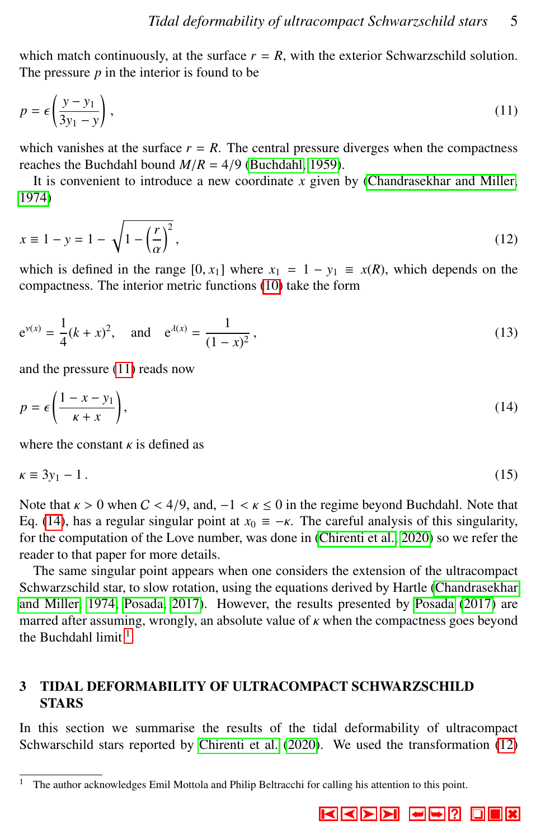<span id="page-4-0"></span>which match continuously, at the surface  $r = R$ , with the exterior Schwarzschild solution. The pressure  $p$  in the interior is found to be

$$
p = \epsilon \left(\frac{y - y_1}{3y_1 - y}\right),\tag{11}
$$

which vanishes at the surface  $r = R$ . The central pressure diverges when the compactness reaches the Buchdahl bound  $M/R = 4/9$  [\(Buchdahl, 1959\)](#page-8-0).

<span id="page-4-3"></span>It is convenient to introduce a new coordinate *x* given by [\(Chandrasekhar and Miller,](#page-9-22) [1974\)](#page-9-22)

$$
x \equiv 1 - y = 1 - \sqrt{1 - \left(\frac{r}{\alpha}\right)^2},\tag{12}
$$

which is defined in the range  $[0, x_1]$  where  $x_1 = 1 - y_1 \equiv x(R)$ , which depends on the compactness. The interior metric functions (10) take the form compactness. The interior metric functions [\(10\)](#page-3-0) take the form

<span id="page-4-4"></span>
$$
e^{v(x)} = \frac{1}{4}(k+x)^2
$$
, and  $e^{\lambda(x)} = \frac{1}{(1-x)^2}$ , (13)

<span id="page-4-1"></span>and the pressure [\(11\)](#page-4-0) reads now

$$
p = \epsilon \left( \frac{1 - x - y_1}{\kappa + x} \right),\tag{14}
$$

where the constant  $\kappa$  is defined as

$$
\kappa \equiv 3y_1 - 1 \,. \tag{15}
$$

Note that  $\kappa > 0$  when  $C < 4/9$ , and,  $-1 < \kappa \le 0$  in the regime beyond Buchdahl. Note that Eq. [\(14\)](#page-4-1), has a regular singular point at  $x_0 = -\kappa$ . The careful analysis of this singularity, for the computation of the Love number, was done in [\(Chirenti et al., 2020\)](#page-9-18) so we refer the reader to that paper for more details.

The same singular point appears when one considers the extension of the ultracompact Schwarzschild star, to slow rotation, using the equations derived by Hartle [\(Chandrasekhar](#page-9-22) [and Miller, 1974;](#page-9-22) [Posada, 2017\)](#page-10-2). However, the results presented by [Posada](#page-10-2) [\(2017\)](#page-10-2) are marred after assuming, wrongly, an absolute value of  $\kappa$  when the compactness goes beyond the Buchdahl limit  $<sup>1</sup>$  $<sup>1</sup>$  $<sup>1</sup>$ .</sup>

# 3 TIDAL DEFORMABILITY OF ULTRACOMPACT SCHWARZSCHILD **STARS**

In this section we summarise the results of the tidal deformability of ultracompact Schwarschild stars reported by [Chirenti et al.](#page-9-18) [\(2020\)](#page-9-18). We used the transformation [\(12\)](#page-4-3)

<span id="page-4-2"></span><sup>1</sup> The author acknowledges Emil Mottola and Philip Beltracchi for calling his attention to this point.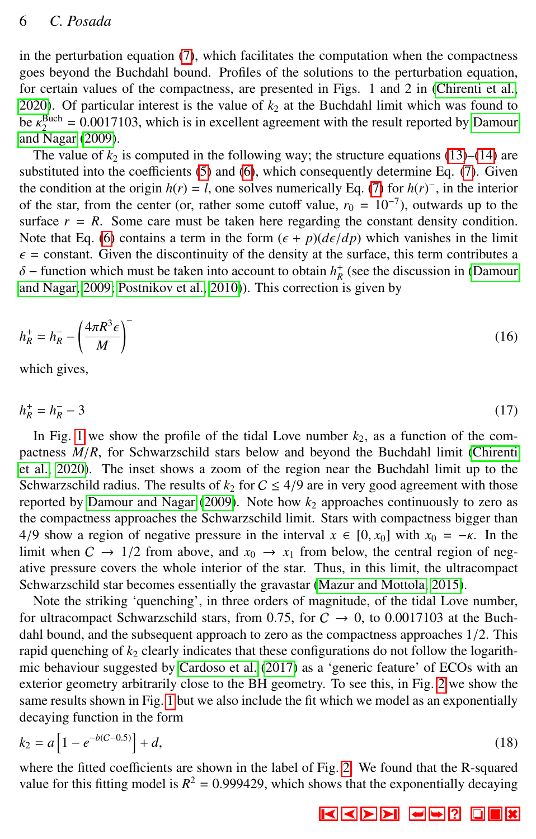# 6 *C. Posada*

in the perturbation equation [\(7\)](#page-3-1), which facilitates the computation when the compactness goes beyond the Buchdahl bound. Profiles of the solutions to the perturbation equation, for certain values of the compactness, are presented in Figs. 1 and 2 in [\(Chirenti et al.,](#page-9-18) [2020\)](#page-9-18). Of particular interest is the value of  $k_2$  at the Buchdahl limit which was found to be  $\kappa_2^{\text{Buch}} = 0.0017103$ , which is in excellent agreement with the result reported by [Damour](#page-9-12)<br>and Nagar (2009) [and Nagar](#page-9-12) [\(2009\)](#page-9-12).

The value of  $k_2$  is computed in the following way; the structure equations [\(13\)](#page-4-4)–[\(14\)](#page-4-1) are substituted into the coefficients [\(5\)](#page-3-2) and [\(6\)](#page-3-3), which consequently determine Eq. [\(7\)](#page-3-1). Given the condition at the origin  $h(r) = l$ , one solves numerically Eq. [\(7\)](#page-3-1) for  $h(r)^{-}$ , in the interior of the star, from the center (or, rather some cutoff value,  $r_0 = 10^{-7}$ ), outwards up to the surface  $r = R$ . Some care must be taken here regarding the constant density condition. Note that Eq. [\(6\)](#page-3-3) contains a term in the form  $(\epsilon + p)(d\epsilon/dp)$  which vanishes in the limit  $\epsilon$  = constant. Given the discontinuity of the density at the surface, this term contributes a  $\delta$  – function which must be taken into account to obtain  $h^+_{R}$  (see the discussion in [\(Damour](#page-9-12)<br>and Nagar, 2009; Postnikov et al. 2010)). This correction is given by [and Nagar, 2009;](#page-9-12) [Postnikov et al., 2010\)](#page-10-3)). This correction is given by

$$
h_R^+ = h_R^- - \left(\frac{4\pi R^3 \epsilon}{M}\right)^-
$$
\n(16)

which gives,

 $h_R^+ = h_R^ R_R^-$  − 3 (17)

In Fig. [1](#page-6-0) we show the profile of the tidal Love number  $k_2$ , as a function of the compactness *<sup>M</sup>*/*R*, for Schwarzschild stars below and beyond the Buchdahl limit [\(Chirenti](#page-9-18) [et al., 2020\)](#page-9-18). The inset shows a zoom of the region near the Buchdahl limit up to the Schwarzschild radius. The results of  $k_2$  for  $C \leq 4/9$  are in very good agreement with those reported by [Damour and Nagar](#page-9-12)  $(2009)$ . Note how  $k_2$  approaches continuously to zero as the compactness approaches the Schwarzschild limit. Stars with compactness bigger than 4/9 show a region of negative pressure in the interval  $x \in [0, x_0]$  with  $x_0 = -\kappa$ . In the limit when  $C \rightarrow 1/2$  from above, and  $x_0 \rightarrow x_1$  from below, the central region of negative pressure covers the whole interior of the star. Thus, in this limit, the ultracompact Schwarzschild star becomes essentially the gravastar [\(Mazur and Mottola, 2015\)](#page-9-6).

Note the striking 'quenching', in three orders of magnitude, of the tidal Love number, for ultracompact Schwarzschild stars, from 0.75, for  $C \rightarrow 0$ , to 0.0017103 at the Buchdahl bound, and the subsequent approach to zero as the compactness approaches 1/2. This rapid quenching of  $k_2$  clearly indicates that these configurations do not follow the logarithmic behaviour suggested by [Cardoso et al.](#page-9-17) [\(2017\)](#page-9-17) as a 'generic feature' of ECOs with an exterior geometry arbitrarily close to the BH geometry. To see this, in Fig. [2](#page-7-0) we show the same results shown in Fig. [1](#page-6-0) but we also include the fit which we model as an exponentially decaying function in the form

$$
k_2 = a \left[ 1 - e^{-b(C - 0.5)} \right] + d,\tag{18}
$$

where the fitted coefficients are shown in the label of Fig. [2.](#page-7-0) We found that the R-squared value for this fitting model is  $R^2 = 0.999429$ , which shows that the exponentially decaying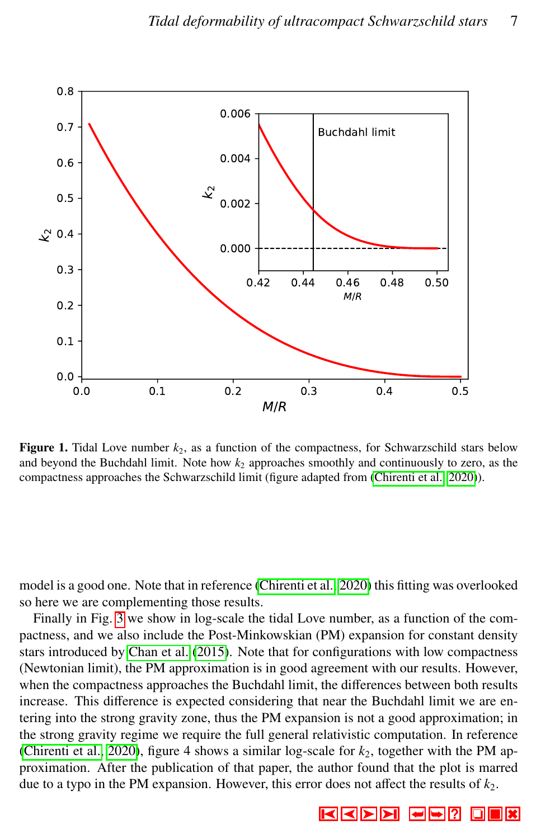

<span id="page-6-0"></span>**Figure 1.** Tidal Love number  $k_2$ , as a function of the compactness, for Schwarzschild stars below and beyond the Buchdahl limit. Note how  $k_2$  approaches smoothly and continuously to zero, as the compactness approaches the Schwarzschild limit (figure adapted from [\(Chirenti et al., 2020\)](#page-9-18)).

model is a good one. Note that in reference [\(Chirenti et al., 2020\)](#page-9-18) this fitting was overlooked so here we are complementing those results.

Finally in Fig. [3](#page-8-4) we show in log-scale the tidal Love number, as a function of the compactness, and we also include the Post-Minkowskian (PM) expansion for constant density stars introduced by [Chan et al.](#page-9-21) [\(2015\)](#page-9-21). Note that for configurations with low compactness (Newtonian limit), the PM approximation is in good agreement with our results. However, when the compactness approaches the Buchdahl limit, the differences between both results increase. This difference is expected considering that near the Buchdahl limit we are entering into the strong gravity zone, thus the PM expansion is not a good approximation; in the strong gravity regime we require the full general relativistic computation. In reference [\(Chirenti et al., 2020\)](#page-9-18), figure 4 shows a similar log-scale for  $k_2$ , together with the PM approximation. After the publication of that paper, the author found that the plot is marred due to a typo in the PM expansion. However, this error does not affect the results of  $k_2$ .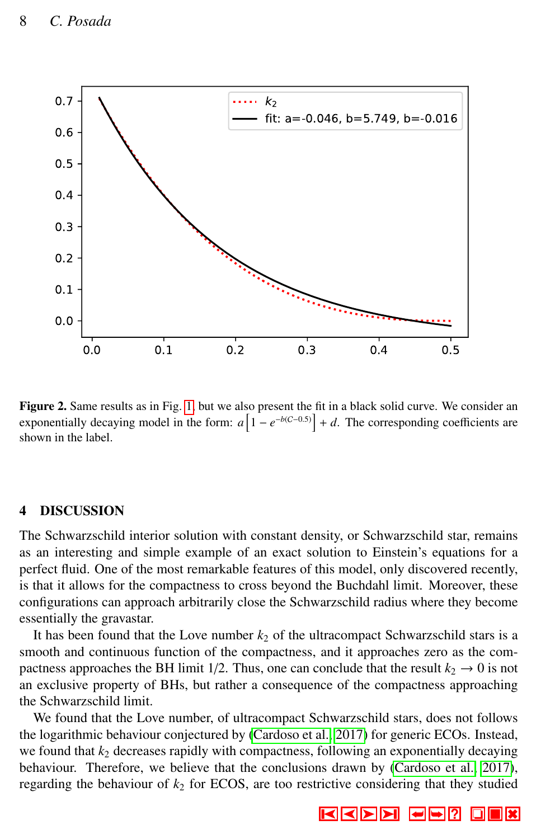

<span id="page-7-0"></span>Figure 2. Same results as in Fig. [1,](#page-6-0) but we also present the fit in a black solid curve. We consider an exponentially decaying model in the form:  $a \left[1 - e^{-b(C-0.5)}\right] + d$ . The corresponding coefficients are shown in the label.

# 4 DISCUSSION

The Schwarzschild interior solution with constant density, or Schwarzschild star, remains as an interesting and simple example of an exact solution to Einstein's equations for a perfect fluid. One of the most remarkable features of this model, only discovered recently, is that it allows for the compactness to cross beyond the Buchdahl limit. Moreover, these configurations can approach arbitrarily close the Schwarzschild radius where they become essentially the gravastar.

It has been found that the Love number  $k_2$  of the ultracompact Schwarzschild stars is a smooth and continuous function of the compactness, and it approaches zero as the compactness approaches the BH limit 1/2. Thus, one can conclude that the result  $k_2 \rightarrow 0$  is not an exclusive property of BHs, but rather a consequence of the compactness approaching the Schwarzschild limit.

We found that the Love number, of ultracompact Schwarzschild stars, does not follows the logarithmic behaviour conjectured by [\(Cardoso et al., 2017\)](#page-9-17) for generic ECOs. Instead, we found that  $k_2$  decreases rapidly with compactness, following an exponentially decaying behaviour. Therefore, we believe that the conclusions drawn by [\(Cardoso et al., 2017\)](#page-9-17), regarding the behaviour of  $k_2$  for ECOS, are too restrictive considering that they studied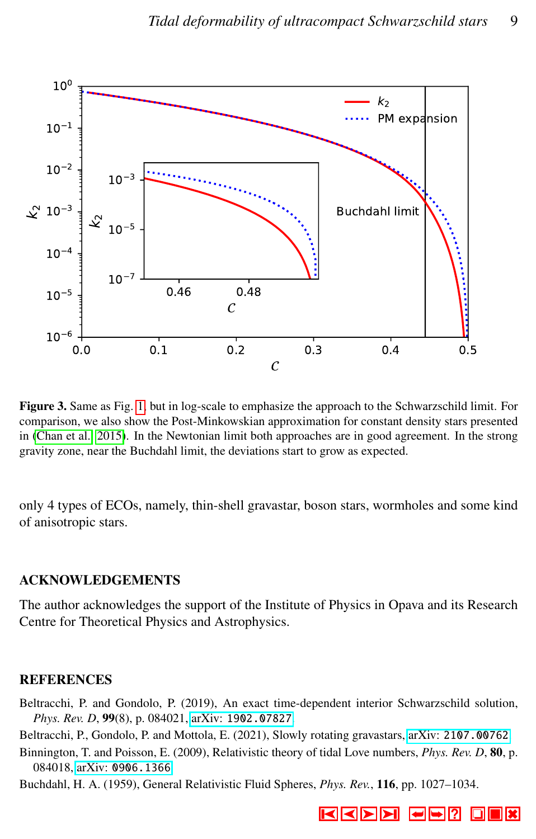

<span id="page-8-4"></span>Figure 3. Same as Fig. [1,](#page-6-0) but in log-scale to emphasize the approach to the Schwarzschild limit. For comparison, we also show the Post-Minkowskian approximation for constant density stars presented in [\(Chan et al., 2015\)](#page-9-21). In the Newtonian limit both approaches are in good agreement. In the strong gravity zone, near the Buchdahl limit, the deviations start to grow as expected.

only 4 types of ECOs, namely, thin-shell gravastar, boson stars, wormholes and some kind of anisotropic stars.

#### ACKNOWLEDGEMENTS

The author acknowledges the support of the Institute of Physics in Opava and its Research Centre for Theoretical Physics and Astrophysics.

# **REFERENCES**

<span id="page-8-1"></span>Beltracchi, P. and Gondolo, P. (2019), An exact time-dependent interior Schwarzschild solution, *Phys. Rev. D*, 99(8), p. 084021, arXiv: [1902.07827](http://www.arxiv.org/abs/1902.07827).

<span id="page-8-2"></span>Beltracchi, P., Gondolo, P. and Mottola, E. (2021), Slowly rotating gravastars, arXiv: [2107.00762](http://www.arxiv.org/abs/2107.00762).

<span id="page-8-3"></span>Binnington, T. and Poisson, E. (2009), Relativistic theory of tidal Love numbers, *Phys. Rev. D*, 80, p. 084018, arXiv: [0906.1366](http://www.arxiv.org/abs/0906.1366).

<span id="page-8-0"></span>Buchdahl, H. A. (1959), General Relativistic Fluid Spheres, *Phys. Rev.*, 116, pp. 1027–1034.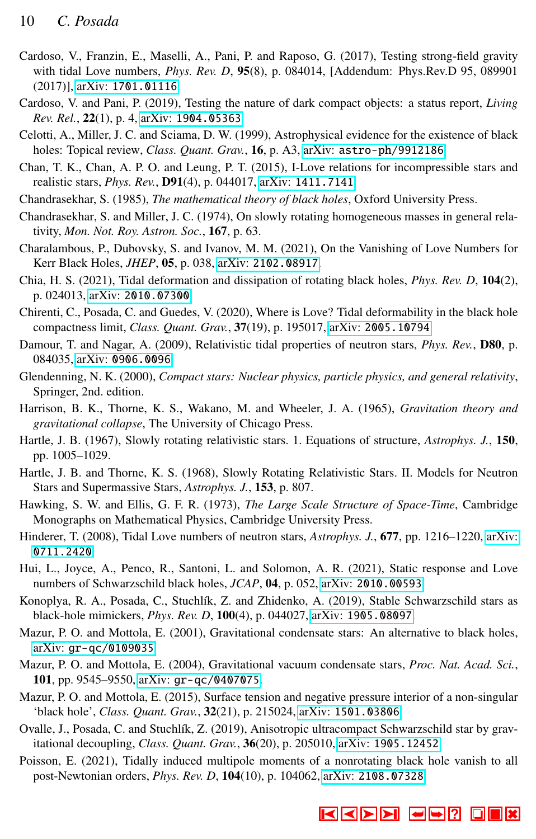- <span id="page-9-17"></span>Cardoso, V., Franzin, E., Maselli, A., Pani, P. and Raposo, G. (2017), Testing strong-field gravity with tidal Love numbers, *Phys. Rev. D*, 95(8), p. 084014, [Addendum: Phys.Rev.D 95, 089901 (2017)], arXiv: [1701.01116](http://www.arxiv.org/abs/1701.01116).
- <span id="page-9-3"></span>Cardoso, V. and Pani, P. (2019), Testing the nature of dark compact objects: a status report, *Living Rev. Rel.*, 22(1), p. 4, arXiv: [1904.05363](http://www.arxiv.org/abs/1904.05363).
- <span id="page-9-1"></span>Celotti, A., Miller, J. C. and Sciama, D. W. (1999), Astrophysical evidence for the existence of black holes: Topical review, *Class. Quant. Grav.*, **16**, p. A3, arXiv: [astro-ph/9912186](http://www.arxiv.org/abs/astro-ph/9912186).
- <span id="page-9-21"></span>Chan, T. K., Chan, A. P. O. and Leung, P. T. (2015), I-Love relations for incompressible stars and realistic stars, *Phys. Rev.*, D91(4), p. 044017, arXiv: [1411.7141](http://www.arxiv.org/abs/1411.7141).
- <span id="page-9-0"></span>Chandrasekhar, S. (1985), *The mathematical theory of black holes*, Oxford University Press.
- <span id="page-9-22"></span>Chandrasekhar, S. and Miller, J. C. (1974), On slowly rotating homogeneous masses in general relativity, *Mon. Not. Roy. Astron. Soc.*, 167, p. 63.
- <span id="page-9-15"></span>Charalambous, P., Dubovsky, S. and Ivanov, M. M. (2021), On the Vanishing of Love Numbers for Kerr Black Holes, *JHEP*, 05, p. 038, arXiv: [2102.08917](http://www.arxiv.org/abs/2102.08917).
- <span id="page-9-14"></span>Chia, H. S. (2021), Tidal deformation and dissipation of rotating black holes, *Phys. Rev. D*, 104(2), p. 024013, arXiv: [2010.07300](http://www.arxiv.org/abs/2010.07300).
- <span id="page-9-18"></span>Chirenti, C., Posada, C. and Guedes, V. (2020), Where is Love? Tidal deformability in the black hole compactness limit, *Class. Quant. Grav.*, 37(19), p. 195017, arXiv: [2005.10794](http://www.arxiv.org/abs/2005.10794).
- <span id="page-9-12"></span>Damour, T. and Nagar, A. (2009), Relativistic tidal properties of neutron stars, *Phys. Rev.*, D80, p. 084035, arXiv: [0906.0096](http://www.arxiv.org/abs/0906.0096).
- <span id="page-9-7"></span>Glendenning, N. K. (2000), *Compact stars: Nuclear physics, particle physics, and general relativity*, Springer, 2nd. edition.
- <span id="page-9-20"></span>Harrison, B. K., Thorne, K. S., Wakano, M. and Wheeler, J. A. (1965), *Gravitation theory and gravitational collapse*, The University of Chicago Press.
- <span id="page-9-10"></span>Hartle, J. B. (1967), Slowly rotating relativistic stars. 1. Equations of structure, *Astrophys. J.*, 150, pp. 1005–1029.
- <span id="page-9-11"></span>Hartle, J. B. and Thorne, K. S. (1968), Slowly Rotating Relativistic Stars. II. Models for Neutron Stars and Supermassive Stars, *Astrophys. J.*, 153, p. 807.
- <span id="page-9-2"></span>Hawking, S. W. and Ellis, G. F. R. (1973), *The Large Scale Structure of Space-Time*, Cambridge Monographs on Mathematical Physics, Cambridge University Press.
- <span id="page-9-19"></span>Hinderer, T. (2008), Tidal Love numbers of neutron stars, *Astrophys. J.*, 677, pp. 1216–1220, [arXiv:](http://www.arxiv.org/abs/0711.2420) [0711.2420](http://www.arxiv.org/abs/0711.2420).
- <span id="page-9-13"></span>Hui, L., Joyce, A., Penco, R., Santoni, L. and Solomon, A. R. (2021), Static response and Love numbers of Schwarzschild black holes, *JCAP*, 04, p. 052, arXiv: [2010.00593](http://www.arxiv.org/abs/2010.00593).
- <span id="page-9-8"></span>Konoplya, R. A., Posada, C., Stuchlík, Z. and Zhidenko, A. (2019), Stable Schwarzschild stars as black-hole mimickers, *Phys. Rev. D*, 100(4), p. 044027, arXiv: [1905.08097](http://www.arxiv.org/abs/1905.08097).
- <span id="page-9-4"></span>Mazur, P. O. and Mottola, E. (2001), Gravitational condensate stars: An alternative to black holes, arXiv: [gr-qc/0109035](http://www.arxiv.org/abs/gr-qc/0109035).
- <span id="page-9-5"></span>Mazur, P. O. and Mottola, E. (2004), Gravitational vacuum condensate stars, *Proc. Nat. Acad. Sci.*, 101, pp. 9545–9550, arXiv: [gr-qc/0407075](http://www.arxiv.org/abs/gr-qc/0407075).
- <span id="page-9-6"></span>Mazur, P. O. and Mottola, E. (2015), Surface tension and negative pressure interior of a non-singular 'black hole', *Class. Quant. Grav.*, 32(21), p. 215024, arXiv: [1501.03806](http://www.arxiv.org/abs/1501.03806).
- <span id="page-9-9"></span>Ovalle, J., Posada, C. and Stuchlík, Z. (2019), Anisotropic ultracompact Schwarzschild star by gravitational decoupling, *Class. Quant. Grav.*, 36(20), p. 205010, arXiv: [1905.12452](http://www.arxiv.org/abs/1905.12452).
- <span id="page-9-16"></span>Poisson, E. (2021), Tidally induced multipole moments of a nonrotating black hole vanish to all post-Newtonian orders, *Phys. Rev. D*, 104(10), p. 104062, arXiv: [2108.07328](http://www.arxiv.org/abs/2108.07328).